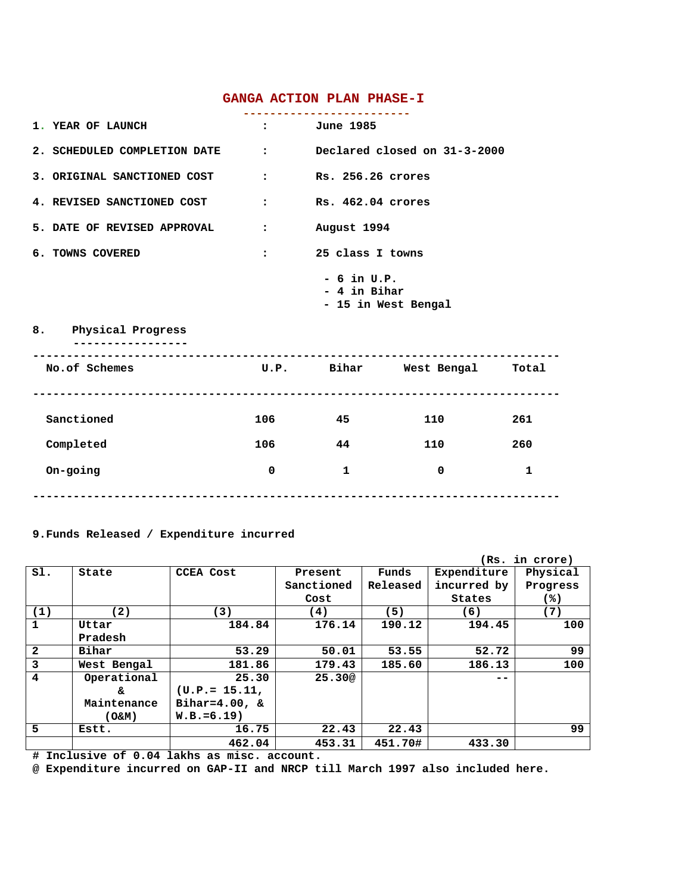## **GANGA ACTION PLAN PHASE-I**

| 1. YEAR OF LAUNCH                                           | $\mathbf{r}$ and $\mathbf{r}$ | <b>June 1985</b>                                     |                              |              |  |  |
|-------------------------------------------------------------|-------------------------------|------------------------------------------------------|------------------------------|--------------|--|--|
| 2. SCHEDULED COMPLETION DATE : Declared closed on 31-3-2000 |                               |                                                      |                              |              |  |  |
| 3. ORIGINAL SANCTIONED COST :                               |                               | Rs. 256.26 crores                                    |                              |              |  |  |
| 4. REVISED SANCTIONED COST :                                |                               | Rs. 462.04 crores                                    |                              |              |  |  |
| 5. DATE OF REVISED APPROVAL                                 | $\ddot{\cdot}$                | August 1994                                          |                              |              |  |  |
| 6. TOWNS COVERED                                            | $\ddot{\cdot}$                | 25 class I towns                                     |                              |              |  |  |
|                                                             |                               | $-6$ in U.P.<br>$-4$ in Bihar<br>- 15 in West Bengal |                              |              |  |  |
| 8. Physical Progress                                        |                               |                                                      |                              |              |  |  |
| No.of Schemes                                               |                               |                                                      | U.P. Bihar West-Bengal Total |              |  |  |
| Sanctioned                                                  | 106 10                        | 45 45                                                | 110                          | 261          |  |  |
| Completed                                                   | 106                           | 44                                                   | 110                          | 260          |  |  |
| On-going                                                    | 0                             | $\mathbf{1}$                                         | 0                            | $\mathbf{1}$ |  |  |

**------------------------------------------------------------------------------**

## **9.Funds Released / Expenditure incurred**

|                |             |                   |            |          | (Rs.        | in crore) |
|----------------|-------------|-------------------|------------|----------|-------------|-----------|
| SI.            | State       | <b>CCEA Cost</b>  | Present    | Funds    | Expenditure | Physical  |
|                |             |                   | Sanctioned | Released | incurred by | Progress  |
|                |             |                   | Cost       |          | States      | (%)       |
| (1)            | (2)         | (3)               | (4)        | (5)      | (6)         | (7)       |
| $\mathbf{1}$   | Uttar       | 184.84            | 176.14     | 190.12   | 194.45      | 100       |
|                | Pradesh     |                   |            |          |             |           |
| $\overline{2}$ | Bihar       | 53.29             | 50.01      | 53.55    | 52.72       | 99        |
| 3              | West Bengal | 181.86            | 179.43     | 185.60   | 186.13      | 100       |
| $\overline{4}$ | Operational | 25.30             | 25.30@     |          |             |           |
|                | s.          | $(U.P.= 15.11,$   |            |          |             |           |
|                | Maintenance | Bihar= $4.00$ , & |            |          |             |           |
|                | (0.5M)      | $W.B.=6.19$       |            |          |             |           |
| 5              | Estt.       | 16.75             | 22.43      | 22.43    |             | 99        |
|                |             | 462.04            | 453.31     | 451.70#  | 433.30      |           |

**# Inclusive of 0.04 lakhs as misc. account.**

**@ Expenditure incurred on GAP-II and NRCP till March 1997 also included here.**